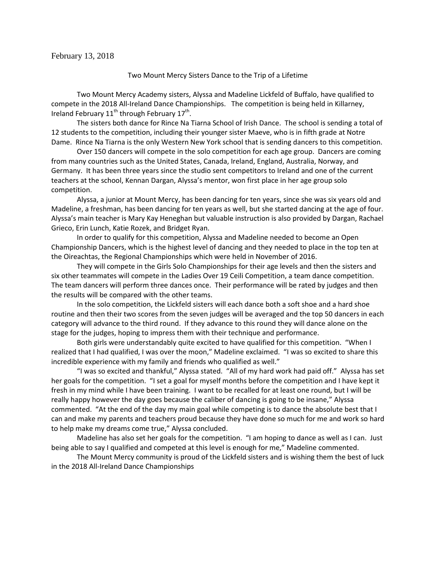February 13, 2018

Two Mount Mercy Sisters Dance to the Trip of a Lifetime

Two Mount Mercy Academy sisters, Alyssa and Madeline Lickfeld of Buffalo, have qualified to compete in the 2018 All-Ireland Dance Championships. The competition is being held in Killarney, Ireland February  $11^{th}$  through February  $17^{th}$ .

The sisters both dance for Rince Na Tiarna School of Irish Dance. The school is sending a total of 12 students to the competition, including their younger sister Maeve, who is in fifth grade at Notre Dame. Rince Na Tiarna is the only Western New York school that is sending dancers to this competition.

Over 150 dancers will compete in the solo competition for each age group. Dancers are coming from many countries such as the United States, Canada, Ireland, England, Australia, Norway, and Germany. It has been three years since the studio sent competitors to Ireland and one of the current teachers at the school, Kennan Dargan, Alyssa's mentor, won first place in her age group solo competition.

Alyssa, a junior at Mount Mercy, has been dancing for ten years, since she was six years old and Madeline, a freshman, has been dancing for ten years as well, but she started dancing at the age of four. Alyssa's main teacher is Mary Kay Heneghan but valuable instruction is also provided by Dargan, Rachael Grieco, Erin Lunch, Katie Rozek, and Bridget Ryan.

In order to qualify for this competition, Alyssa and Madeline needed to become an Open Championship Dancers, which is the highest level of dancing and they needed to place in the top ten at the Oireachtas, the Regional Championships which were held in November of 2016.

They will compete in the Girls Solo Championships for their age levels and then the sisters and six other teammates will compete in the Ladies Over 19 Ceili Competition, a team dance competition. The team dancers will perform three dances once. Their performance will be rated by judges and then the results will be compared with the other teams.

In the solo competition, the Lickfeld sisters will each dance both a soft shoe and a hard shoe routine and then their two scores from the seven judges will be averaged and the top 50 dancers in each category will advance to the third round. If they advance to this round they will dance alone on the stage for the judges, hoping to impress them with their technique and performance.

Both girls were understandably quite excited to have qualified for this competition. "When I realized that I had qualified, I was over the moon," Madeline exclaimed. "I was so excited to share this incredible experience with my family and friends who qualified as well."

"I was so excited and thankful," Alyssa stated. "All of my hard work had paid off." Alyssa has set her goals for the competition. "I set a goal for myself months before the competition and I have kept it fresh in my mind while I have been training. I want to be recalled for at least one round, but I will be really happy however the day goes because the caliber of dancing is going to be insane," Alyssa commented. "At the end of the day my main goal while competing is to dance the absolute best that I can and make my parents and teachers proud because they have done so much for me and work so hard to help make my dreams come true," Alyssa concluded.

Madeline has also set her goals for the competition. "I am hoping to dance as well as I can. Just being able to say I qualified and competed at this level is enough for me," Madeline commented.

The Mount Mercy community is proud of the Lickfeld sisters and is wishing them the best of luck in the 2018 All-Ireland Dance Championships